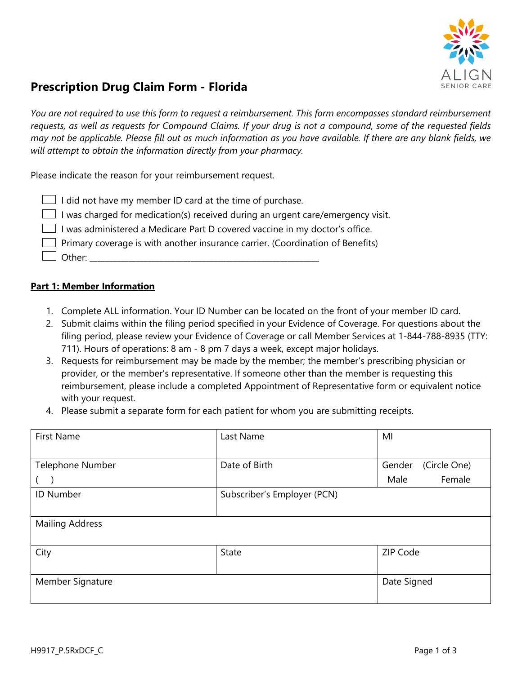

# **Prescription Drug Claim Form - Florida**

*You are not required to use this form to request a reimbursement. This form encompasses standard reimbursement requests, as well as requests for Compound Claims. If your drug is not a compound, some of the requested fields may not be applicable. Please fill out as much information as you have available. If there are any blank fields, we will attempt to obtain the information directly from your pharmacy.*

Please indicate the reason for your reimbursement request.

| $\Box$ I did not have my member ID card at the time of purchase.                       |
|----------------------------------------------------------------------------------------|
| $\Box$ I was charged for medication(s) received during an urgent care/emergency visit. |
| I was administered a Medicare Part D covered vaccine in my doctor's office.            |
| Primary coverage is with another insurance carrier. (Coordination of Benefits)         |
| $\Box$ Other:                                                                          |

- 1. Complete ALL information. Your ID Number can be located on the front of your member ID card.
- 2. Submit claims within the filing period specified in your Evidence of Coverage. For questions about the filing period, please review your Evidence of Coverage or call Member Services at 1-844-788-8935 (TTY: 711). Hours of operations: 8 am - 8 pm 7 days a week, except major holidays.
- 3. Requests for reimbursement may be made by the member; the member's prescribing physician or provider, or the member's representative. If someone other than the member is requesting this reimbursement, please include a completed Appointment of Representative form or equivalent notice with your request.
- 4. Please submit a separate form for each patient for whom you are submitting receipts.

| <b>First Name</b>      | Last Name                   | MI                     |
|------------------------|-----------------------------|------------------------|
|                        |                             |                        |
| Telephone Number       | Date of Birth               | (Circle One)<br>Gender |
|                        |                             | Female<br>Male         |
| <b>ID Number</b>       | Subscriber's Employer (PCN) |                        |
|                        |                             |                        |
| <b>Mailing Address</b> |                             |                        |
|                        |                             |                        |
| City                   | <b>State</b>                | ZIP Code               |
|                        |                             |                        |
| Member Signature       |                             | Date Signed            |
|                        |                             |                        |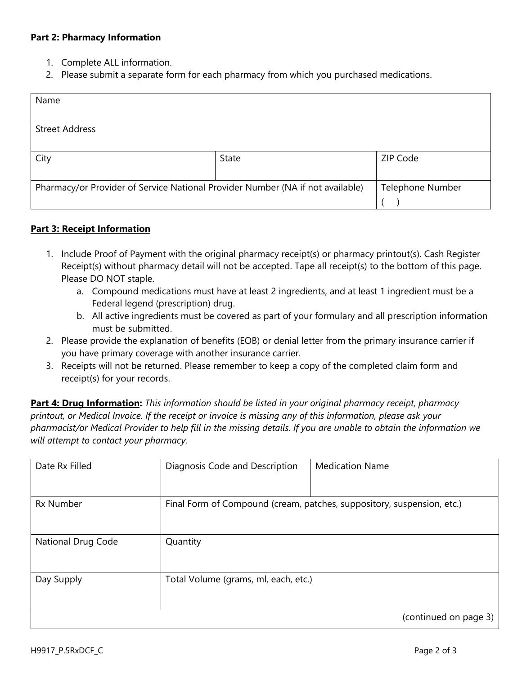- 1. Complete ALL information.
- 2. Please submit a separate form for each pharmacy from which you purchased medications.

| Name                                                                           |       |                         |
|--------------------------------------------------------------------------------|-------|-------------------------|
|                                                                                |       |                         |
| <b>Street Address</b>                                                          |       |                         |
|                                                                                |       |                         |
| City                                                                           | State | ZIP Code                |
|                                                                                |       |                         |
| Pharmacy/or Provider of Service National Provider Number (NA if not available) |       | <b>Telephone Number</b> |
|                                                                                |       |                         |

## **Part 3: Receipt Information**

- 1. Include Proof of Payment with the original pharmacy receipt(s) or pharmacy printout(s). Cash Register Receipt(s) without pharmacy detail will not be accepted. Tape all receipt(s) to the bottom of this page. Please DO NOT staple.
	- a. Compound medications must have at least 2 ingredients, and at least 1 ingredient must be a Federal legend (prescription) drug.
	- b. All active ingredients must be covered as part of your formulary and all prescription information must be submitted.
- 2. Please provide the explanation of benefits (EOB) or denial letter from the primary insurance carrier if you have primary coverage with another insurance carrier.
- 3. Receipts will not be returned. Please remember to keep a copy of the completed claim form and receipt(s) for your records.

| Date Rx Filled     | Diagnosis Code and Description       | <b>Medication Name</b>                                                 |
|--------------------|--------------------------------------|------------------------------------------------------------------------|
|                    |                                      |                                                                        |
|                    |                                      |                                                                        |
|                    |                                      |                                                                        |
| <b>Rx Number</b>   |                                      | Final Form of Compound (cream, patches, suppository, suspension, etc.) |
|                    |                                      |                                                                        |
|                    |                                      |                                                                        |
|                    |                                      |                                                                        |
| National Drug Code | Quantity                             |                                                                        |
|                    |                                      |                                                                        |
|                    |                                      |                                                                        |
|                    |                                      |                                                                        |
| Day Supply         | Total Volume (grams, ml, each, etc.) |                                                                        |
|                    |                                      |                                                                        |
|                    |                                      |                                                                        |
|                    |                                      | (continued on page 3)                                                  |
|                    |                                      |                                                                        |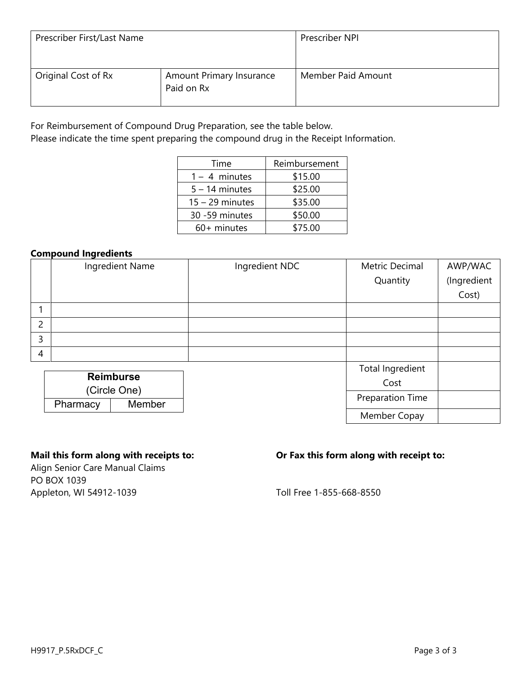| Prescriber First/Last Name |                                        | Prescriber NPI     |
|----------------------------|----------------------------------------|--------------------|
| Original Cost of Rx        | Amount Primary Insurance<br>Paid on Rx | Member Paid Amount |

Please indicate the time spent preparing the compound drug in the Receipt Information.

| Time              | Reimbursement |
|-------------------|---------------|
| $1 - 4$ minutes   | \$15.00       |
| $5 - 14$ minutes  | \$25.00       |
| $15 - 29$ minutes | \$35.00       |
| 30 -59 minutes    | \$50.00       |
| 60+ minutes       | \$75.00       |

## **Compound Ingredients**

|                |          | Ingredient Name  | Ingredient NDC | Metric Decimal   | AWP/WAC     |
|----------------|----------|------------------|----------------|------------------|-------------|
|                |          |                  |                | Quantity         | (Ingredient |
|                |          |                  |                |                  | Cost)       |
|                |          |                  |                |                  |             |
| $\overline{2}$ |          |                  |                |                  |             |
| 3              |          |                  |                |                  |             |
| $\overline{4}$ |          |                  |                |                  |             |
|                |          |                  |                | Total Ingredient |             |
|                |          | <b>Reimburse</b> |                | Cost             |             |
|                |          | (Circle One)     |                |                  |             |
|                | Pharmacy | Member           |                | Preparation Time |             |
|                |          |                  |                |                  |             |

Align Senior Care Manual Claims PO BOX 1039 Appleton, WI 54912-1039 **Appleton**, WI 54912-1039

# **Mail this form along with receipts to: Or Fax this form along with receipt to:**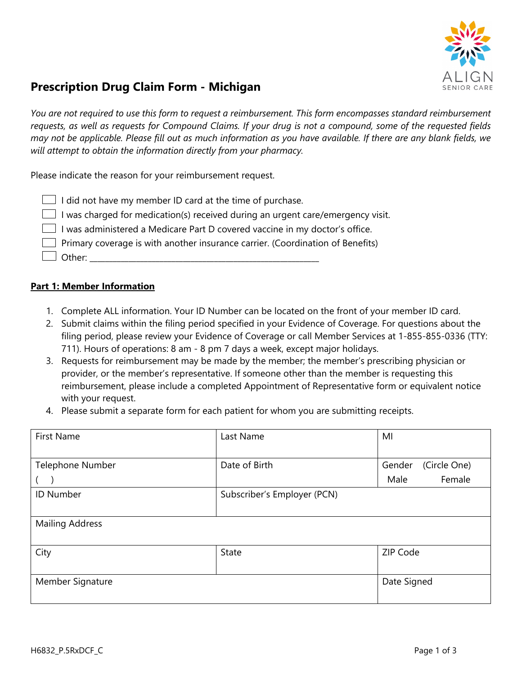

# **Prescription Drug Claim Form - Michigan**

*You are not required to use this form to request a reimbursement. This form encompasses standard reimbursement requests, as well as requests for Compound Claims. If your drug is not a compound, some of the requested fields may not be applicable. Please fill out as much information as you have available. If there are any blank fields, we will attempt to obtain the information directly from your pharmacy.*

Please indicate the reason for your reimbursement request.

| $\Box$ I did not have my member ID card at the time of purchase.                       |
|----------------------------------------------------------------------------------------|
| $\Box$ I was charged for medication(s) received during an urgent care/emergency visit. |
| I was administered a Medicare Part D covered vaccine in my doctor's office.            |
| $\Box$ Primary coverage is with another insurance carrier. (Coordination of Benefits)  |
| $\Box$ Other:                                                                          |

- 1. Complete ALL information. Your ID Number can be located on the front of your member ID card.
- 2. Submit claims within the filing period specified in your Evidence of Coverage. For questions about the filing period, please review your Evidence of Coverage or call Member Services at 1-855-855-0336 (TTY: 711). Hours of operations: 8 am - 8 pm 7 days a week, except major holidays.
- 3. Requests for reimbursement may be made by the member; the member's prescribing physician or provider, or the member's representative. If someone other than the member is requesting this reimbursement, please include a completed Appointment of Representative form or equivalent notice with your request.
- 4. Please submit a separate form for each patient for whom you are submitting receipts.

| <b>First Name</b>      | Last Name                   | MI                     |
|------------------------|-----------------------------|------------------------|
|                        |                             |                        |
| Telephone Number       | Date of Birth               | (Circle One)<br>Gender |
|                        |                             | Female<br>Male         |
| <b>ID Number</b>       | Subscriber's Employer (PCN) |                        |
|                        |                             |                        |
| <b>Mailing Address</b> |                             |                        |
|                        |                             |                        |
| City                   | <b>State</b>                | ZIP Code               |
|                        |                             |                        |
| Member Signature       |                             | Date Signed            |
|                        |                             |                        |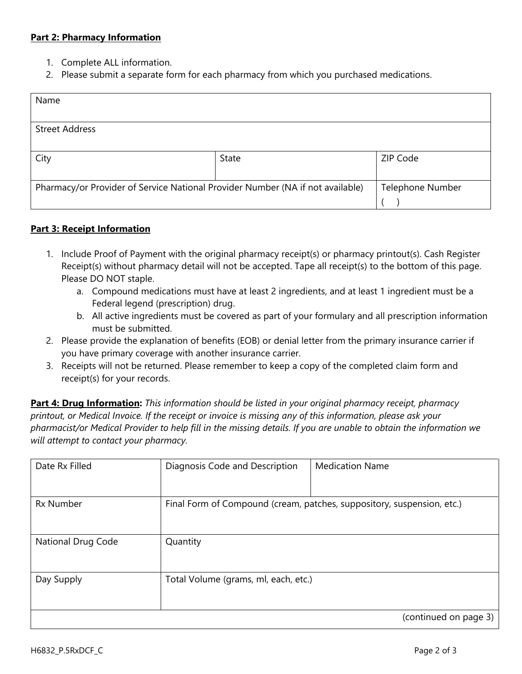- 1. Complete ALL information.
- 2. Please submit a separate form for each pharmacy from which you purchased medications.

| Name                                                                           |       |                         |
|--------------------------------------------------------------------------------|-------|-------------------------|
|                                                                                |       |                         |
| <b>Street Address</b>                                                          |       |                         |
|                                                                                |       |                         |
| City                                                                           | State | ZIP Code                |
|                                                                                |       |                         |
| Pharmacy/or Provider of Service National Provider Number (NA if not available) |       | <b>Telephone Number</b> |
|                                                                                |       |                         |

## **Part 3: Receipt Information**

- 1. Include Proof of Payment with the original pharmacy receipt(s) or pharmacy printout(s). Cash Register Receipt(s) without pharmacy detail will not be accepted. Tape all receipt(s) to the bottom of this page. Please DO NOT staple.
	- a. Compound medications must have at least 2 ingredients, and at least 1 ingredient must be a Federal legend (prescription) drug.
	- b. All active ingredients must be covered as part of your formulary and all prescription information must be submitted.
- 2. Please provide the explanation of benefits (EOB) or denial letter from the primary insurance carrier if you have primary coverage with another insurance carrier.
- 3. Receipts will not be returned. Please remember to keep a copy of the completed claim form and receipt(s) for your records.

| Date Rx Filled     | Diagnosis Code and Description       | <b>Medication Name</b>                                                 |
|--------------------|--------------------------------------|------------------------------------------------------------------------|
| <b>Rx Number</b>   |                                      | Final Form of Compound (cream, patches, suppository, suspension, etc.) |
| National Drug Code | Quantity                             |                                                                        |
| Day Supply         | Total Volume (grams, ml, each, etc.) |                                                                        |
|                    |                                      | (continued on page 3)                                                  |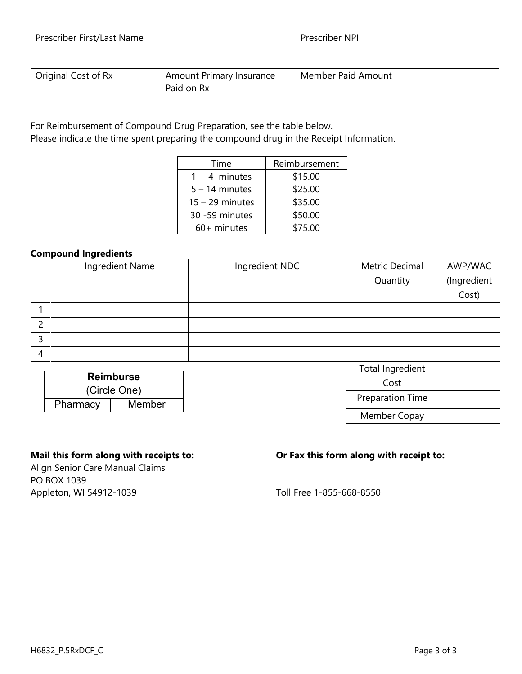| Prescriber First/Last Name |                                        | Prescriber NPI     |
|----------------------------|----------------------------------------|--------------------|
| Original Cost of Rx        | Amount Primary Insurance<br>Paid on Rx | Member Paid Amount |

Please indicate the time spent preparing the compound drug in the Receipt Information.

| Time              | Reimbursement |
|-------------------|---------------|
| $1 - 4$ minutes   | \$15.00       |
| $5 - 14$ minutes  | \$25.00       |
| $15 - 29$ minutes | \$35.00       |
| 30 -59 minutes    | \$50.00       |
| 60+ minutes       | \$75.00       |

## **Compound Ingredients**

|                |          | Ingredient Name  | Ingredient NDC   | Metric Decimal   | AWP/WAC     |
|----------------|----------|------------------|------------------|------------------|-------------|
|                |          |                  |                  | Quantity         | (Ingredient |
|                |          |                  |                  |                  | Cost)       |
|                |          |                  |                  |                  |             |
| $\overline{2}$ |          |                  |                  |                  |             |
| 3              |          |                  |                  |                  |             |
| $\overline{4}$ |          |                  |                  |                  |             |
|                |          |                  |                  | Total Ingredient |             |
|                |          | <b>Reimburse</b> |                  | Cost             |             |
| (Circle One)   |          |                  |                  |                  |             |
|                | Pharmacy | Member           | Preparation Time |                  |             |
|                |          |                  |                  |                  |             |

Align Senior Care Manual Claims PO BOX 1039 Appleton, WI 54912-1039 **Appleton**, WI 54912-1039

# **Mail this form along with receipts to: Or Fax this form along with receipt to:**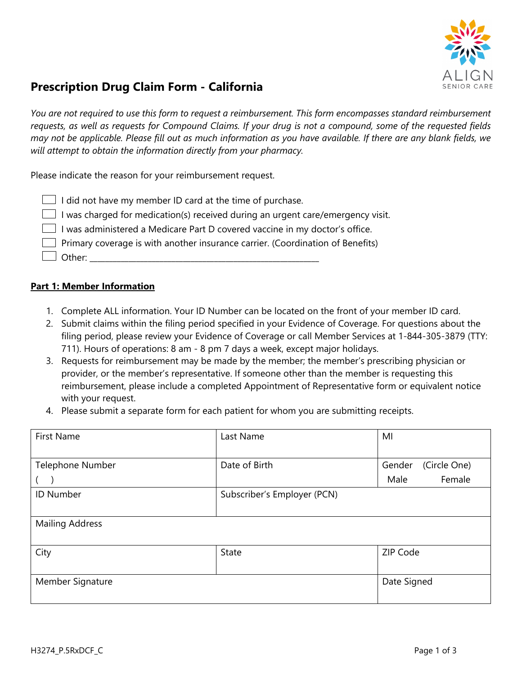

# **Prescription Drug Claim Form - California**

*You are not required to use this form to request a reimbursement. This form encompasses standard reimbursement requests, as well as requests for Compound Claims. If your drug is not a compound, some of the requested fields may not be applicable. Please fill out as much information as you have available. If there are any blank fields, we will attempt to obtain the information directly from your pharmacy.*

Please indicate the reason for your reimbursement request.

| $\Box$ I did not have my member ID card at the time of purchase.                      |
|---------------------------------------------------------------------------------------|
| I was charged for medication(s) received during an urgent care/emergency visit.       |
| I was administered a Medicare Part D covered vaccine in my doctor's office.           |
| $\Box$ Primary coverage is with another insurance carrier. (Coordination of Benefits) |
| $\Box$ Other:                                                                         |

- 1. Complete ALL information. Your ID Number can be located on the front of your member ID card.
- 2. Submit claims within the filing period specified in your Evidence of Coverage. For questions about the filing period, please review your Evidence of Coverage or call Member Services at 1-844-305-3879 (TTY: 711). Hours of operations: 8 am - 8 pm 7 days a week, except major holidays.
- 3. Requests for reimbursement may be made by the member; the member's prescribing physician or provider, or the member's representative. If someone other than the member is requesting this reimbursement, please include a completed Appointment of Representative form or equivalent notice with your request.
- 4. Please submit a separate form for each patient for whom you are submitting receipts.

| <b>First Name</b>      | Last Name                   | MI                     |
|------------------------|-----------------------------|------------------------|
|                        |                             |                        |
| Telephone Number       | Date of Birth               | (Circle One)<br>Gender |
|                        |                             | Female<br>Male         |
| <b>ID Number</b>       | Subscriber's Employer (PCN) |                        |
|                        |                             |                        |
| <b>Mailing Address</b> |                             |                        |
|                        |                             |                        |
| City                   | <b>State</b>                | ZIP Code               |
|                        |                             |                        |
| Member Signature       |                             | Date Signed            |
|                        |                             |                        |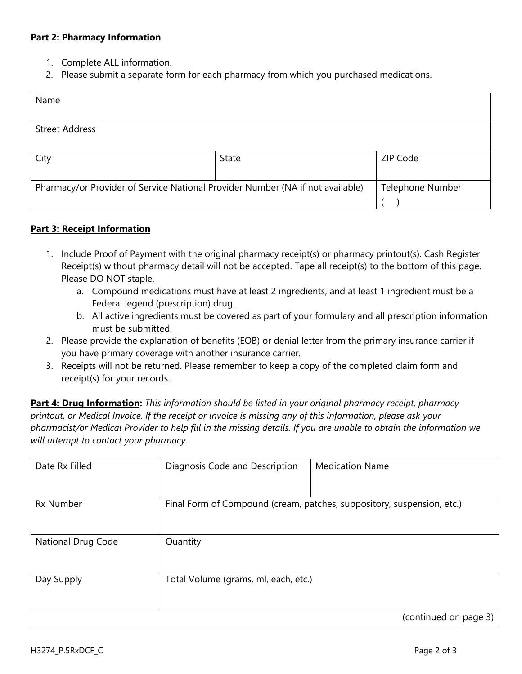- 1. Complete ALL information.
- 2. Please submit a separate form for each pharmacy from which you purchased medications.

| Name                                                                           |       |                         |
|--------------------------------------------------------------------------------|-------|-------------------------|
|                                                                                |       |                         |
| <b>Street Address</b>                                                          |       |                         |
|                                                                                |       |                         |
| City                                                                           | State | ZIP Code                |
|                                                                                |       |                         |
| Pharmacy/or Provider of Service National Provider Number (NA if not available) |       | <b>Telephone Number</b> |
|                                                                                |       |                         |

## **Part 3: Receipt Information**

- 1. Include Proof of Payment with the original pharmacy receipt(s) or pharmacy printout(s). Cash Register Receipt(s) without pharmacy detail will not be accepted. Tape all receipt(s) to the bottom of this page. Please DO NOT staple.
	- a. Compound medications must have at least 2 ingredients, and at least 1 ingredient must be a Federal legend (prescription) drug.
	- b. All active ingredients must be covered as part of your formulary and all prescription information must be submitted.
- 2. Please provide the explanation of benefits (EOB) or denial letter from the primary insurance carrier if you have primary coverage with another insurance carrier.
- 3. Receipts will not be returned. Please remember to keep a copy of the completed claim form and receipt(s) for your records.

| Date Rx Filled     | Diagnosis Code and Description       | <b>Medication Name</b>                                                 |
|--------------------|--------------------------------------|------------------------------------------------------------------------|
|                    |                                      |                                                                        |
|                    |                                      |                                                                        |
|                    |                                      |                                                                        |
| <b>Rx Number</b>   |                                      | Final Form of Compound (cream, patches, suppository, suspension, etc.) |
|                    |                                      |                                                                        |
|                    |                                      |                                                                        |
|                    |                                      |                                                                        |
| National Drug Code | Quantity                             |                                                                        |
|                    |                                      |                                                                        |
|                    |                                      |                                                                        |
|                    |                                      |                                                                        |
| Day Supply         | Total Volume (grams, ml, each, etc.) |                                                                        |
|                    |                                      |                                                                        |
|                    |                                      |                                                                        |
|                    |                                      | (continued on page 3)                                                  |
|                    |                                      |                                                                        |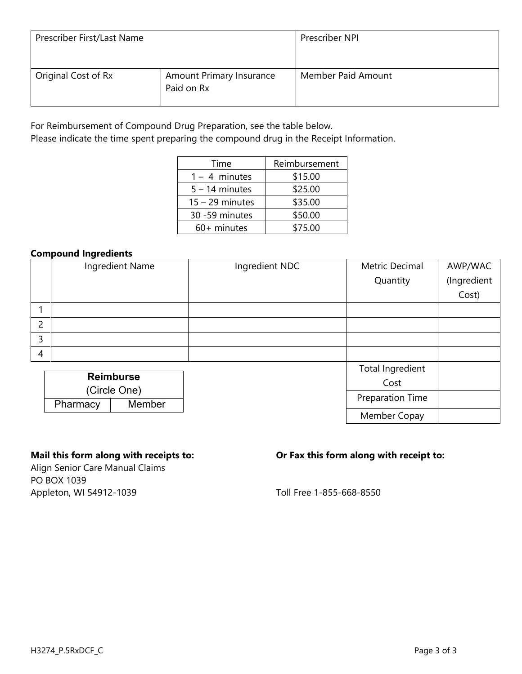| Prescriber First/Last Name |                                        | Prescriber NPI     |
|----------------------------|----------------------------------------|--------------------|
| Original Cost of Rx        | Amount Primary Insurance<br>Paid on Rx | Member Paid Amount |

Please indicate the time spent preparing the compound drug in the Receipt Information.

| Time              | Reimbursement |
|-------------------|---------------|
| $1 - 4$ minutes   | \$15.00       |
| $5 - 14$ minutes  | \$25.00       |
| $15 - 29$ minutes | \$35.00       |
| 30 -59 minutes    | \$50.00       |
| 60+ minutes       | \$75.00       |

## **Compound Ingredients**

|   |              | Ingredient Name  | Ingredient NDC | Metric Decimal          | AWP/WAC     |
|---|--------------|------------------|----------------|-------------------------|-------------|
|   |              |                  |                | Quantity                | (Ingredient |
|   |              |                  |                |                         | Cost)       |
|   |              |                  |                |                         |             |
| 2 |              |                  |                |                         |             |
| 3 |              |                  |                |                         |             |
| 4 |              |                  |                |                         |             |
|   |              |                  |                | Total Ingredient        |             |
|   |              | <b>Reimburse</b> |                | Cost                    |             |
|   | (Circle One) |                  |                | <b>Preparation Time</b> |             |
|   | Pharmacy     | Member           |                |                         |             |
|   |              |                  |                |                         |             |

Align Senior Care Manual Claims PO BOX 1039 Appleton, WI 54912-1039 **Appleton**, WI 54912-1039

# **Mail this form along with receipts to: Or Fax this form along with receipt to:**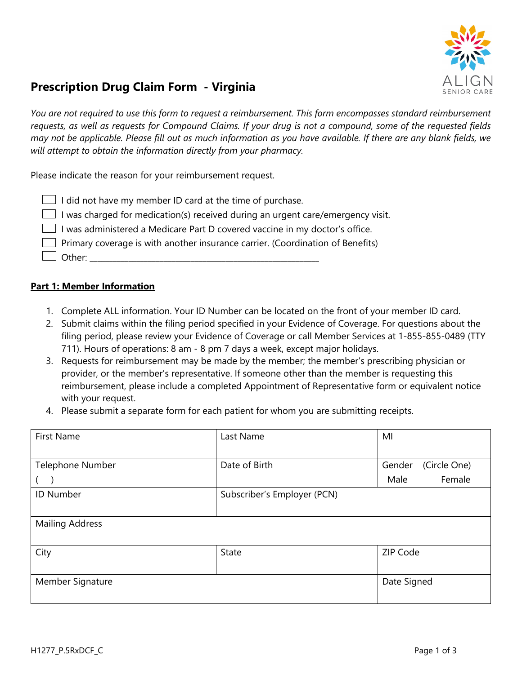

# **Prescription Drug Claim Form - Virginia**

*You are not required to use this form to request a reimbursement. This form encompasses standard reimbursement requests, as well as requests for Compound Claims. If your drug is not a compound, some of the requested fields may not be applicable. Please fill out as much information as you have available. If there are any blank fields, we will attempt to obtain the information directly from your pharmacy.*

Please indicate the reason for your reimbursement request.

| $\Box$ I did not have my member ID card at the time of purchase.                      |
|---------------------------------------------------------------------------------------|
| I was charged for medication(s) received during an urgent care/emergency visit.       |
| I was administered a Medicare Part D covered vaccine in my doctor's office.           |
| $\Box$ Primary coverage is with another insurance carrier. (Coordination of Benefits) |
| $\Box$ Other:                                                                         |

- 1. Complete ALL information. Your ID Number can be located on the front of your member ID card.
- 2. Submit claims within the filing period specified in your Evidence of Coverage. For questions about the filing period, please review your Evidence of Coverage or call Member Services at 1-855-855-0489 (TTY 711). Hours of operations: 8 am - 8 pm 7 days a week, except major holidays.
- 3. Requests for reimbursement may be made by the member; the member's prescribing physician or provider, or the member's representative. If someone other than the member is requesting this reimbursement, please include a completed Appointment of Representative form or equivalent notice with your request.
- 4. Please submit a separate form for each patient for whom you are submitting receipts.

| <b>First Name</b>      | Last Name                   | MI                     |
|------------------------|-----------------------------|------------------------|
|                        |                             |                        |
| Telephone Number       | Date of Birth               | (Circle One)<br>Gender |
|                        |                             | Female<br>Male         |
| <b>ID Number</b>       | Subscriber's Employer (PCN) |                        |
|                        |                             |                        |
| <b>Mailing Address</b> |                             |                        |
|                        |                             |                        |
| City                   | <b>State</b>                | ZIP Code               |
|                        |                             |                        |
| Member Signature       |                             | Date Signed            |
|                        |                             |                        |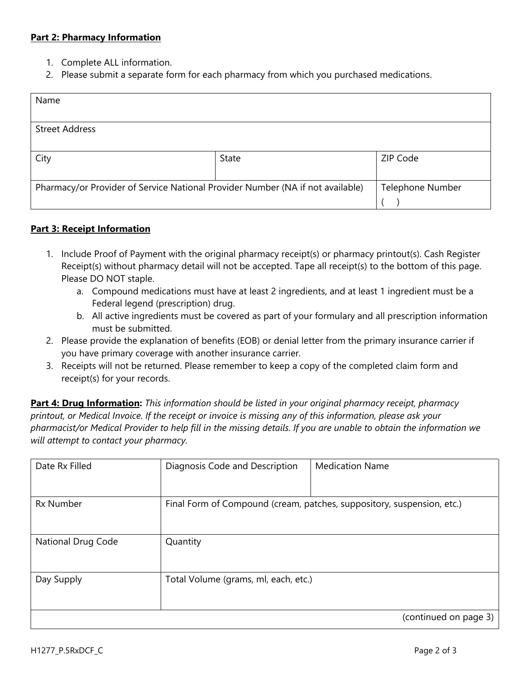- 1. Complete ALL information.
- 2. Please submit a separate form for each pharmacy from which you purchased medications.

| Name                                                                           |       |                         |
|--------------------------------------------------------------------------------|-------|-------------------------|
|                                                                                |       |                         |
| <b>Street Address</b>                                                          |       |                         |
|                                                                                |       |                         |
| City                                                                           | State | ZIP Code                |
|                                                                                |       |                         |
| Pharmacy/or Provider of Service National Provider Number (NA if not available) |       | <b>Telephone Number</b> |
|                                                                                |       |                         |

## **Part 3: Receipt Information**

- 1. Include Proof of Payment with the original pharmacy receipt(s) or pharmacy printout(s). Cash Register Receipt(s) without pharmacy detail will not be accepted. Tape all receipt(s) to the bottom of this page. Please DO NOT staple.
	- a. Compound medications must have at least 2 ingredients, and at least 1 ingredient must be a Federal legend (prescription) drug.
	- b. All active ingredients must be covered as part of your formulary and all prescription information must be submitted.
- 2. Please provide the explanation of benefits (EOB) or denial letter from the primary insurance carrier if you have primary coverage with another insurance carrier.
- 3. Receipts will not be returned. Please remember to keep a copy of the completed claim form and receipt(s) for your records.

| Date Rx Filled     | Diagnosis Code and Description                                         | <b>Medication Name</b> |  |
|--------------------|------------------------------------------------------------------------|------------------------|--|
| <b>Rx Number</b>   | Final Form of Compound (cream, patches, suppository, suspension, etc.) |                        |  |
| National Drug Code | Quantity                                                               |                        |  |
| Day Supply         | Total Volume (grams, ml, each, etc.)                                   |                        |  |
|                    |                                                                        | (continued on page 3)  |  |